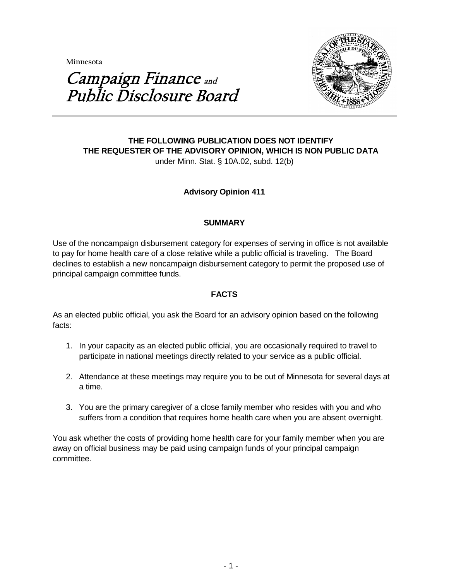**Minnesota** 



# Campaign Finance and Public Disclosure Board

## **THE FOLLOWING PUBLICATION DOES NOT IDENTIFY THE REQUESTER OF THE ADVISORY OPINION, WHICH IS NON PUBLIC DATA** under Minn. Stat. § 10A.02, subd. 12(b)

# **Advisory Opinion 411**

#### **SUMMARY**

Use of the noncampaign disbursement category for expenses of serving in office is not available to pay for home health care of a close relative while a public official is traveling. The Board declines to establish a new noncampaign disbursement category to permit the proposed use of principal campaign committee funds.

# **FACTS**

As an elected public official, you ask the Board for an advisory opinion based on the following facts:

- 1. In your capacity as an elected public official, you are occasionally required to travel to participate in national meetings directly related to your service as a public official.
- 2. Attendance at these meetings may require you to be out of Minnesota for several days at a time.
- 3. You are the primary caregiver of a close family member who resides with you and who suffers from a condition that requires home health care when you are absent overnight.

You ask whether the costs of providing home health care for your family member when you are away on official business may be paid using campaign funds of your principal campaign committee.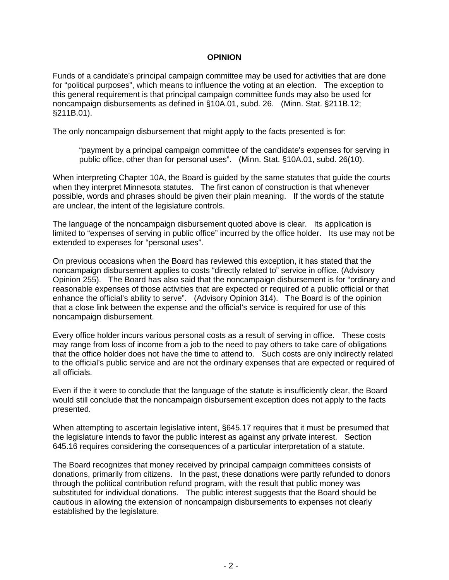#### **OPINION**

Funds of a candidate's principal campaign committee may be used for activities that are done for "political purposes", which means to influence the voting at an election. The exception to this general requirement is that principal campaign committee funds may also be used for noncampaign disbursements as defined in §10A.01, subd. 26. (Minn. Stat. §211B.12; §211B.01).

The only noncampaign disbursement that might apply to the facts presented is for:

"payment by a principal campaign committee of the candidate's expenses for serving in public office, other than for personal uses". (Minn. Stat. §10A.01, subd. 26(10).

When interpreting Chapter 10A, the Board is guided by the same statutes that guide the courts when they interpret Minnesota statutes. The first canon of construction is that whenever possible, words and phrases should be given their plain meaning. If the words of the statute are unclear, the intent of the legislature controls.

The language of the noncampaign disbursement quoted above is clear. Its application is limited to "expenses of serving in public office" incurred by the office holder. Its use may not be extended to expenses for "personal uses".

On previous occasions when the Board has reviewed this exception, it has stated that the noncampaign disbursement applies to costs "directly related to" service in office. (Advisory Opinion 255). The Board has also said that the noncampaign disbursement is for "ordinary and reasonable expenses of those activities that are expected or required of a public official or that enhance the official's ability to serve". (Advisory Opinion 314). The Board is of the opinion that a close link between the expense and the official's service is required for use of this noncampaign disbursement.

Every office holder incurs various personal costs as a result of serving in office. These costs may range from loss of income from a job to the need to pay others to take care of obligations that the office holder does not have the time to attend to. Such costs are only indirectly related to the official's public service and are not the ordinary expenses that are expected or required of all officials.

Even if the it were to conclude that the language of the statute is insufficiently clear, the Board would still conclude that the noncampaign disbursement exception does not apply to the facts presented.

When attempting to ascertain legislative intent, §645.17 requires that it must be presumed that the legislature intends to favor the public interest as against any private interest. Section 645.16 requires considering the consequences of a particular interpretation of a statute.

The Board recognizes that money received by principal campaign committees consists of donations, primarily from citizens. In the past, these donations were partly refunded to donors through the political contribution refund program, with the result that public money was substituted for individual donations. The public interest suggests that the Board should be cautious in allowing the extension of noncampaign disbursements to expenses not clearly established by the legislature.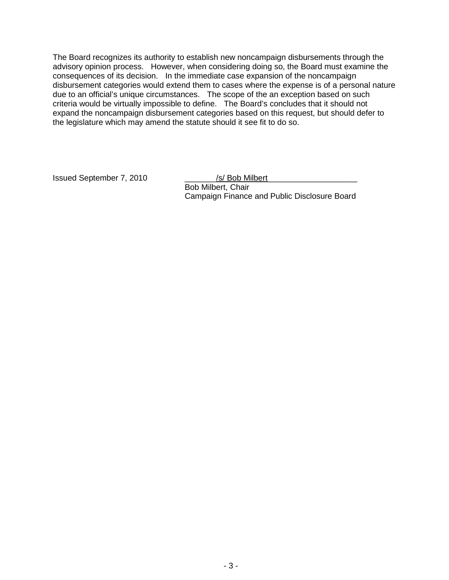The Board recognizes its authority to establish new noncampaign disbursements through the advisory opinion process. However, when considering doing so, the Board must examine the consequences of its decision. In the immediate case expansion of the noncampaign disbursement categories would extend them to cases where the expense is of a personal nature due to an official's unique circumstances. The scope of the an exception based on such criteria would be virtually impossible to define. The Board's concludes that it should not expand the noncampaign disbursement categories based on this request, but should defer to the legislature which may amend the statute should it see fit to do so.

Issued September 7, 2010 \_\_\_\_\_\_\_/s/ Bob Milbert\_\_\_\_\_\_\_\_\_\_\_\_\_\_\_\_\_\_\_\_

Bob Milbert, Chair Campaign Finance and Public Disclosure Board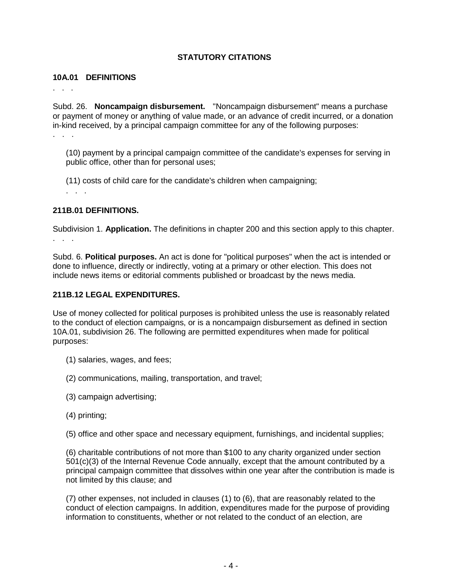# **STATUTORY CITATIONS**

#### **10A.01 DEFINITIONS**

. . .

Subd. 26. **Noncampaign disbursement.** "Noncampaign disbursement" means a purchase or payment of money or anything of value made, or an advance of credit incurred, or a donation in-kind received, by a principal campaign committee for any of the following purposes:

. . .

(10) payment by a principal campaign committee of the candidate's expenses for serving in public office, other than for personal uses;

(11) costs of child care for the candidate's children when campaigning;

#### **211B.01 DEFINITIONS.**

. . .

Subdivision 1. **Application.** The definitions in chapter 200 and this section apply to this chapter. . . .

Subd. 6. **Political purposes.** An act is done for "political purposes" when the act is intended or done to influence, directly or indirectly, voting at a primary or other election. This does not include news items or editorial comments published or broadcast by the news media.

## **211B.12 LEGAL EXPENDITURES.**

Use of money collected for political purposes is prohibited unless the use is reasonably related to the conduct of election campaigns, or is a noncampaign disbursement as defined in section 10A.01, subdivision 26. The following are permitted expenditures when made for political purposes:

- (1) salaries, wages, and fees;
- (2) communications, mailing, transportation, and travel;
- (3) campaign advertising;
- (4) printing;

(5) office and other space and necessary equipment, furnishings, and incidental supplies;

(6) charitable contributions of not more than \$100 to any charity organized under section 501(c)(3) of the Internal Revenue Code annually, except that the amount contributed by a principal campaign committee that dissolves within one year after the contribution is made is not limited by this clause; and

(7) other expenses, not included in clauses (1) to (6), that are reasonably related to the conduct of election campaigns. In addition, expenditures made for the purpose of providing information to constituents, whether or not related to the conduct of an election, are